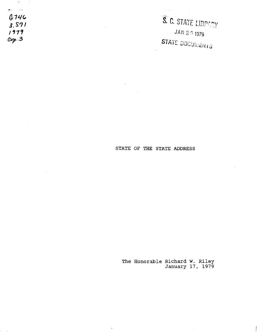المرتبات السلج *{lr11./(,*  **l.S?I**  *,,1,*  **a.rp.** *<sup>3</sup>*

 $\tilde{\Gamma}^{\rm eq}$ 

S. C. STATE LIBPLPY JAN 2 3 1979 STATE DOCUMENTS

# STATE OF THE STATE ADDRESS

The Honorable Richard W. Riley January 17, 1979

 $\cdot$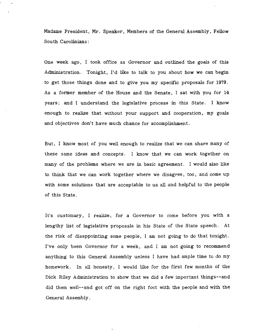Madame President, Mr. Speaker, Members of the General Assembly, Fellow South Carolinians:

One week ago, I took office as Governor and outlined the goals of this Administration. Tonight, I'd like to talk to you about how we can begin to get those things done and to give you my specific proposals for 1979. As a former member of the House and the Senate, I sat with you for 14 years; and I understand the legislative process in this State. I know enough to realize that without your support and cooperation, my goals and objectives don't have much chance for accomplishment.

But, I know most of you well enough to realize that we can share many of these same ideas and concepts. I know that we can work together on many of the problems where we are in basic agreement. I would also like to think that we can work together where we disagree, too, and come up with some solutions that are acceptable to us all and helpful to the people of this State.

It's customary, I realize, for a Governor to come before you with a lengthy list of legislative proposals in his State of the State speech. At the risk of disappointing some people, I am not going to do that tonight. I've only been Governor for a week, and I am not going to recommend anything to this General Assembly unless I have had ample time to do my homework. In all honesty, I would like for the first few months of the Dick Riley Administration to show that we did a few important things--and did them well--and got off on the right foot with the people and with the General Assembly.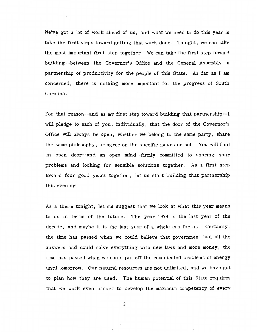We've got a lot of work ahead of us, and what we need to do this year is take the first steps toward getting that work done. Tonight, we can take the most important first step together. We can take the first step toward building--between the Governor's Office and the General Assembly--a partnership of productivity for the people of this State. As far as I am concerned, there is nothing more important for the progress of South Carolina.

For that reason--and as my first step toward building that partnership--I will pledge to each of you, individually, that the door of the Governor's Office will always be open, whether we belong to the same party, share the same philosophy, or agree on the specific issues or not. You will find an open door--and an open mind--firmly committed to sharing your problems and looking for sensible solutions together. As a first step toward four good years together, let us start building that partnership this evening.

As a theme tonight, let me suggest that we look at what this year means to us in terms of the future. The year 1979 is the last year of the decade, and maybe it is the last year of a whole era for us. Certainly, the time has passed when we could believe that government had all the answers and could solve everything with new laws and more money; the time has passed when we could put off the complicated problems of energy until tomorrow. Our natural resources are not unlimited, and we have got to plan how they are used. The human potential of this State requires that we work even harder to develop the maximum competency of every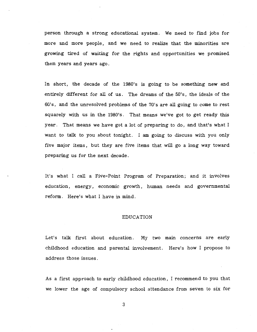person through a strong educational system. We need to find jobs for more and more people, and we need to realize that the minorities are growing tired of waiting for the rights and opportunities we promised them years and years ago.

In short, the decade of the 1980's is going to be something new and entirely different for all of us. The dreams of the 50's, the ideals of the 60's, and the unresolved problems of the 70's are all going to come to rest squarely with us in the 1980's. That means we've got to get ready this year. That means we have got a lot of preparing to do, and that's what I want to talk to you about tonight. I am going to discuss with you only five major items, but they are five items that will go a long way toward preparing us for the next decade.

It's what I call a Five-Point Program of Preparation; and it involves education, energy, economic growth, human needs and governmental reform. Here's what I have in mind.

# EDUCATION

Let's talk first about education. My two main concerns are early childhood education and parental involvement. Here's how I propose to address those issues.

As a first approach to early childhood education, I recommend to you that we lower the age of compulsory school attendance from seven to six for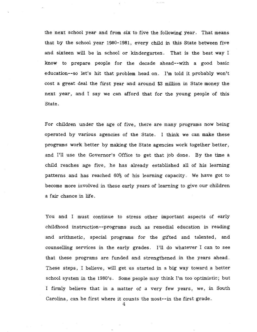the next school year and from six to five the following year. That means that by the school year 1980-1981, every child in this State between five and sixteen will be in school or kindergarten. That is the best way I know to prepare people for the decade ahead--with a good basic education--so let's hit that problem head on. I'm told it probably won't cost a great deal the first year and around \$3 million in State money the next year, and I say we can afford that for the young people of this State.

For children under the age of five, there are many programs now being operated by various agencies of the State. I think we can make these programs work better by making the State agencies work together better, and I'll use the Governor's Office to get that job done. By the time a child reaches age five, he has already established all of his learning patterns and has reached 60% of his learning capacity. We have got to become more involved in these early years of learning to give our children a fair chance in life.

You and I must continue to stress other important aspects of early childhood instruction--programs such as remedial education in reading and arithmetic, special programs for the gifted and talented, and counselling services in the early grades. I'll do whatever I can to see that these programs are funded and strengthened in the years ahead. These steps, I believe, will get us started in a big way toward a better school system in the 1980's. Some people may think I'm too optimistic; but I firmly believe that in a matter of a very few years, we, in South Carolina, can be first where it counts the most--in the first grade.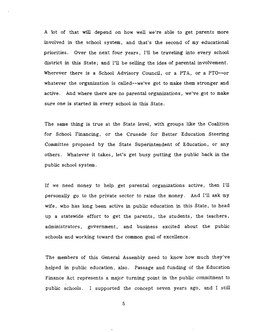A lot of that will depend on how well we're able to get parents more involved in the school system, and that's the second of my educational priorities. Over the next four years, I'll be traveling into every school district in this State; and I'll be selling the idea of parental involvement. Wherever there is a School Advisory Council, or a PTA, or a PTO--or whatever the organization is called--we've got to make them stronger and active. And where there are no parental organizations, we've got to make sure one is started in every school in this State.

The same thing is true at the State level, with groups like the Coalition for School Financing, or the Crusade for Better Education Steering Committee proposed by the State Superintendent of Education, or any others. Whatever it takes, let's get busy putting the public back in the public school system.

If we need money to help get parental organizations active, then I'll personally go to the private sector to raise the money. And I'll ask my wife, who has long been active in public education in this State, to head up a statewide effort to get the parents, the students, the teachers, administrators, government, and business excited about the public schools and working toward the common goal of excellence.

The members of this General Assembly need to know how much they've helped in public education, also. Passage and funding of the Education Finance Act represents a major turning point in the public commitment to public schools. I supported the concept seven years ago, and I still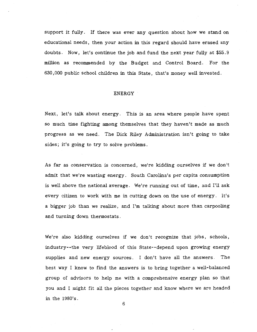support it fully. If there was ever any question about how we stand on educational needs, then your action in this regard should have erased any doubts. Now, let's continue the job and fund the next year fully at \$55.9 million as recommended by the Budget and Control Board. For the 630,000 public school children in this State, that's money well invested.

# ENERGY

Next, let's talk about energy. This is an area where people have spent so much time fighting among themselves that they haven't made as much progress as we need. The Dick Riley Administration isn't going to take sides; it's going to try to solve problems.

As far as conservation is concerned, we're kidding ourselves if we don't admit that we're wasting energy. South Carolina's per capita consumption is well above the national average. We're running out of time, and I'll ask every citizen to work with me in cutting down on the use of energy. It's a bigger job than we realize, and I'm talking about more than carpooling and turning down thermostats.

We're also kidding ourselves if we don't recognize that jobs, schools, industry--the very lifeblood of this State--depend upon growing energy supplies and new energy sources. I don't have all the answers. The best way I know to find the answers is to bring together a well-balanced group of advisors to help me with a comprehensive energy plan so that you and I might fit all the pieces together and know where we are headed in the 1980's.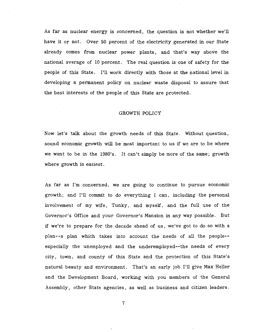As far as nuclear energy is concerned, the question is not whether we'll have it or not. Over 50 percent of the electricity generated in our State already comes from nuclear power plants, and that's way above the national average of 10 percent. The real question is one of safety for the people of this State. I'll work directly with those at the national level in developing a permanent policy on nuclear waste disposal to assure that the best interests of the people of this State are protected.

# GROWTH POLICY

Now let's talk about the growth needs of this State. Without question, sound economic growth will be most important to us if we are to be where we want to be in the 1980's. It can't simply be more of the same; growth where growth is easiest.

As far as I'm concerned, we are going to continue to pursue economic growth; and I'll commit to do everything I can, including the personal involvement of my wife, Tunky, and myself, and the full use of the Governor's Office and your Governor's Mansion in any way possible. But if we're to prepare for the decade ahead of us, we've got to do so with a plan--a plan which takes into account the needs of all the people- especially the unemployed and the underemployed--the needs of every city, town, and county of this State and the protection of this State's natural beauty and environment. That's an early job I'll give Max Heller and the Development Board, working with you members of the General Assembly, other State agencies, as well as business and citizen leaders.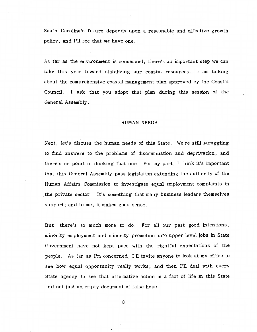South Carolina's future depends upon a reasonable and effective growth policy, and I'll see that we have one.

As far as the environment is concerned, there's an important step we can take this year toward stabilizing our coastal resources. I am talking about the comprehensive coastal management plan approved by the Coastal Council. I ask that you adopt that plan during this session of the General Assembly.

#### HUMAN NEEDS

Next, let's discuss the human needs of this State. We're still struggling to find answers to the problems of discrimination and deprivation, and there's no point in ducking that one. For my part, I think it's important that this General Assembly pass legislation extending the authority of the Human Affairs Commission to investigate equal employment complaints in . the private sector. It's something that many business leaders themselves support; and to me, it makes good sense.

But, there's so much more to do. For all our past good intentions, minority employment and minority promotion into upper level jobs in State Government have not kept pace with the rightful expectations of the people. As far as I'm concerned, I'll invite anyone to look at my office to see how equal opportunity really works; and then I'll deal with every State agency to see that affirmative action is a fact of life in this State and not just an empty document of false hope.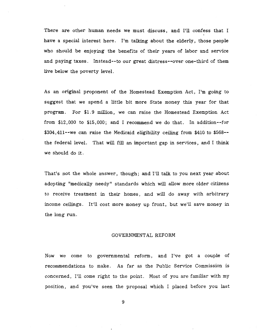There are other human needs we must discuss, and I'll confess that I have a special interest here. I'm talking about the elderly, those people who should be enjoying the benefits of their years of labor and service and paying taxes. Instead--to our great distress--over one-third of them live below the poverty level.

As an original proponent of the Homestead Exemption Act, I'm going to suggest that we spend a little bit more State money this year for that program. For \$1. 9 million, we can raise the Homestead Exemption Act from \$12,000 to \$15,000; and I recommend we do that. In addition--for \$304,411--we can raise the Medicaid eligibility ceiling from \$410 to \$568- the federal level. That will fill an important gap in services, and I think we should do it.

That's not the whole answer, though; and I'll talk to you next year about adopting "medically needy" standards which will allow more older citizens to receive treatment in their homes, and will do away with arbitrary income ceilings. It'll cost more money up front, but we'll save money in the long run.

### GOVERNMENTAL REFORM

Now we come to governmental reform, and I've got a couple of recommendations to make. As far as the Public Service Commission is concerned, I'll come right to the point. Most of you are familiar with my position, and you've seen the proposal which I placed before you last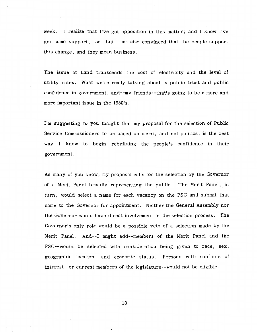week. I realize that I've got opposition in this matter; and I know I've got some support, too--but I am also convinced that the people support this change, and they mean business.

The issue at hand transcends the cost of electricity and the level of utility rates. What we're really talking about is public trust and public confidence in government, and--my friends--that's going to be a more and more important issue in the 1980's.

I'm suggesting to you tonight that my proposal for the selection of Public Service Commissioners to be based on merit, and not politics, is the best way I know to begin rebuilding the people's confidence in their government.

As many of you know, my proposal calls for the selection by the Governor of a Merit Panel broadly representing the public. The Merit Panel, in turn, would select a name for each vacancy on the PSC and submit that name to the Governor for appointment. Neither the General Assembly nor the Governor would have direct involvement in the selection process. The Governor's only role would be a possible veto of a selection made by the Merit Panel. And--! might add--members of the Merit Panel and the PSC--would be selected with consideration being given to race, sex, geographic location, and economic status . Persons with conflicts of interest--or current members of the legislature--would not be eligible.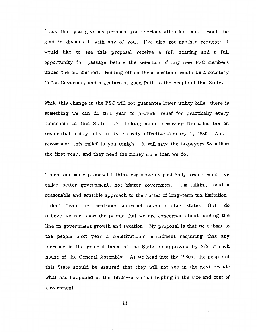I ask that you give my proposal your serious attention, and I would be glad to discuss it with any of you. I've also got another request: I would like to see this proposal receive a full hearing and a full opportunity for passage before the selection of any new PSC members under the old method. Holding off on these elections would be a courtesy to the Governor, and a gesture of good faith to the people of this State.

While this change in the PSC will not guarantee lower utility bills, there is something we can do this year to provide relief for practically every household in this State. I'm talking about removing the sales tax on residential utility bills in its entirety effective January 1, 1980. And I recommend this relief to you tonight--it will save the taxpayers \$8 million the first year, and they need the money more than we do.

I have one more proposal I think can move us positively toward what I've called better government, not bigger government. I'm talking about a reasonable and sensible approach to the matter of long-term tax limitation. I don't favor the "meat-axe" approach taken in other states. But I do believe we can show the people that we are concerned about holding the line on government growth and taxation. My proposal is that we submit to the people next year a constitutional amendment requiring that any increase in the general taxes of the State be approved by 2/3 of each house of the General Assembly. As we head into the 1980s, the people of this State should be assured that they will not see in the next decade what has happened in the 1970s--a virtual tripling in the size and cost of government.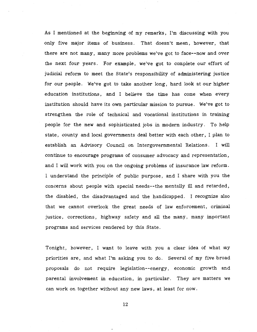As I mentioned at the beginning of my remarks, I'm discussing with you only five major items of business. That doesn't mean, however, that there are not many, many more problems we've got to face--now and over the next four years. For example, we've got to complete our effort of judicial reform to meet the State's responsibility of administering justice for our people. We've got to take another long, hard look at our higher education institutions, and I believe the time has come when every institution should have its own particular mission to pursue. We've got to strengthen the role of technical and vocational institutions in training people for the new and sophisticated jobs in modern industry. To help state, county and local governments deal better with each other, I plan to establish an Advisory Council on Intergovernmental Relations. I will continue to encourage programs of consumer advocacy and representation, and I will work with you on the ongoing problems of insurance law reform. I understand the principle of public purpose, and I share with you the concerns about people with special needs--the mentally ill and retarded, the disabled, the disadvantaged and the handicapped. I recognize also that we cannot overlook the great needs of law enforcement, criminal justice, corrections, highway safety and all the many, many important programs and services rendered by this State.

Tonight, however, I want to leave with you a clear idea of what my priorities are, and what I'm asking you to do. Several of my five broad proposals do not require legislation--energy, economic growth and parental involvement in education, in particular. They are matters we can work on together without any new laws, at least for now.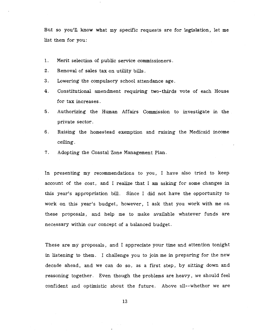But so you'll know what my specific requests are for legislation, let me list them for you:

- 1. Merit selection of public service commissioners.
- 2. Removal of sales tax on utility bills.
- 3. Lowering the compulsory school attendance age.
- 4. Constitutional amendment requiring two-thirds vote of each House for tax increases.
- 5. Authorizing the Human Affairs Commission to investigate in the private sector.
- 6. Raising the homestead exemption and raising the Medicaid income ceiling.
- 7. Adopting the Coastal Zone Management Plan.

In presenting my recommendations to you, I have also tried to keep account of the cost, and I realize that I am asking for some changes in this year's appropriation bill. Since I did not have the opportunity to work on this year's budget, however, I ask that you work with me on these proposals, and help me to make available whatever funds are necessary within our concept of a balanced budget.

These are my proposals, and I appreciate your time and attention tonight in listening to them. I challenge you to join me in preparing for the new decade ahead, and we can do so, as a first step, by sitting down and reasoning together. Even though the problems are heavy, we should feel confident and optimistic about the future. Above all--whether we are